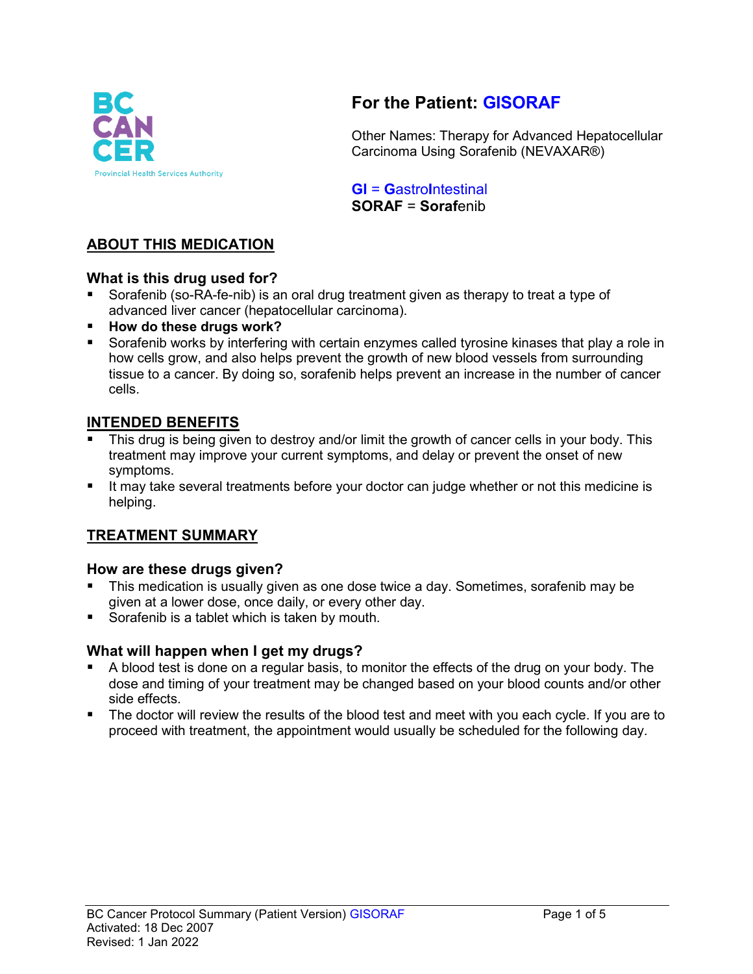

# **For the Patient: GISORAF**

Other Names: Therapy for Advanced Hepatocellular Carcinoma Using Sorafenib (NEVAXAR®)

**GI** = **G**astro**I**ntestinal **SORAF** = **Soraf**enib

### **ABOUT THIS MEDICATION**

### **What is this drug used for?**

- Sorafenib (so-RA-fe-nib) is an oral drug treatment given as therapy to treat a type of advanced liver cancer (hepatocellular carcinoma).
- **How do these drugs work?**
- Sorafenib works by interfering with certain enzymes called tyrosine kinases that play a role in how cells grow, and also helps prevent the growth of new blood vessels from surrounding tissue to a cancer. By doing so, sorafenib helps prevent an increase in the number of cancer cells.

#### **INTENDED BENEFITS**

- This drug is being given to destroy and/or limit the growth of cancer cells in your body. This treatment may improve your current symptoms, and delay or prevent the onset of new symptoms.
- It may take several treatments before your doctor can judge whether or not this medicine is helping.

### **TREATMENT SUMMARY**

### **How are these drugs given?**

- This medication is usually given as one dose twice a day. Sometimes, sorafenib may be given at a lower dose, once daily, or every other day.
- Sorafenib is a tablet which is taken by mouth.

### **What will happen when I get my drugs?**

- A blood test is done on a regular basis, to monitor the effects of the drug on your body. The dose and timing of your treatment may be changed based on your blood counts and/or other side effects.
- The doctor will review the results of the blood test and meet with you each cycle. If you are to proceed with treatment, the appointment would usually be scheduled for the following day.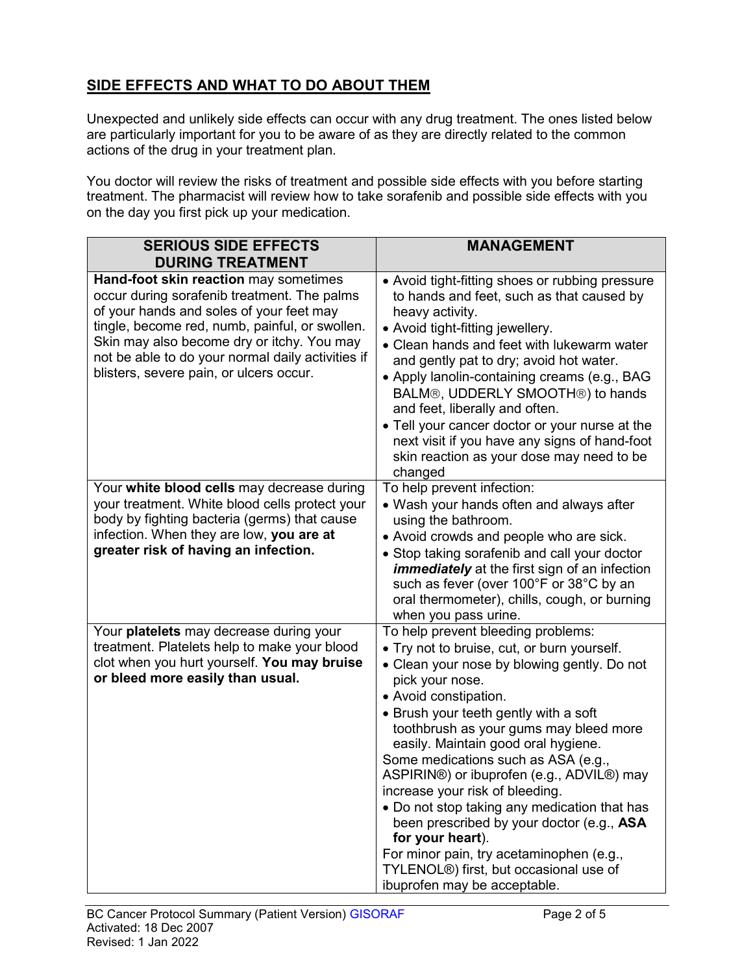# **SIDE EFFECTS AND WHAT TO DO ABOUT THEM**

Unexpected and unlikely side effects can occur with any drug treatment. The ones listed below are particularly important for you to be aware of as they are directly related to the common actions of the drug in your treatment plan.

You doctor will review the risks of treatment and possible side effects with you before starting treatment. The pharmacist will review how to take sorafenib and possible side effects with you on the day you first pick up your medication.

| <b>SERIOUS SIDE EFFECTS</b><br><b>DURING TREATMENT</b>                                                                                                                                                                                                                                                                           | <b>MANAGEMENT</b>                                                                                                                                                                                                                                                                                                                                                                                                                                                                                                                                                                                                                                                    |
|----------------------------------------------------------------------------------------------------------------------------------------------------------------------------------------------------------------------------------------------------------------------------------------------------------------------------------|----------------------------------------------------------------------------------------------------------------------------------------------------------------------------------------------------------------------------------------------------------------------------------------------------------------------------------------------------------------------------------------------------------------------------------------------------------------------------------------------------------------------------------------------------------------------------------------------------------------------------------------------------------------------|
| Hand-foot skin reaction may sometimes<br>occur during sorafenib treatment. The palms<br>of your hands and soles of your feet may<br>tingle, become red, numb, painful, or swollen.<br>Skin may also become dry or itchy. You may<br>not be able to do your normal daily activities if<br>blisters, severe pain, or ulcers occur. | • Avoid tight-fitting shoes or rubbing pressure<br>to hands and feet, such as that caused by<br>heavy activity.<br>• Avoid tight-fitting jewellery.<br>• Clean hands and feet with lukewarm water<br>and gently pat to dry; avoid hot water.<br>• Apply lanolin-containing creams (e.g., BAG<br>BALM®, UDDERLY SMOOTH®) to hands<br>and feet, liberally and often.<br>• Tell your cancer doctor or your nurse at the<br>next visit if you have any signs of hand-foot<br>skin reaction as your dose may need to be<br>changed                                                                                                                                        |
| Your white blood cells may decrease during<br>your treatment. White blood cells protect your<br>body by fighting bacteria (germs) that cause<br>infection. When they are low, you are at<br>greater risk of having an infection.                                                                                                 | To help prevent infection:<br>• Wash your hands often and always after<br>using the bathroom.<br>• Avoid crowds and people who are sick.<br>• Stop taking sorafenib and call your doctor<br><i>immediately</i> at the first sign of an infection<br>such as fever (over 100°F or 38°C by an<br>oral thermometer), chills, cough, or burning<br>when you pass urine.                                                                                                                                                                                                                                                                                                  |
| Your platelets may decrease during your<br>treatment. Platelets help to make your blood<br>clot when you hurt yourself. You may bruise<br>or bleed more easily than usual.                                                                                                                                                       | To help prevent bleeding problems:<br>• Try not to bruise, cut, or burn yourself.<br>• Clean your nose by blowing gently. Do not<br>pick your nose.<br>• Avoid constipation.<br>• Brush your teeth gently with a soft<br>toothbrush as your gums may bleed more<br>easily. Maintain good oral hygiene.<br>Some medications such as ASA (e.g.,<br>ASPIRIN®) or ibuprofen (e.g., ADVIL®) may<br>increase your risk of bleeding.<br>• Do not stop taking any medication that has<br>been prescribed by your doctor (e.g., ASA<br>for your heart).<br>For minor pain, try acetaminophen (e.g.,<br>TYLENOL®) first, but occasional use of<br>ibuprofen may be acceptable. |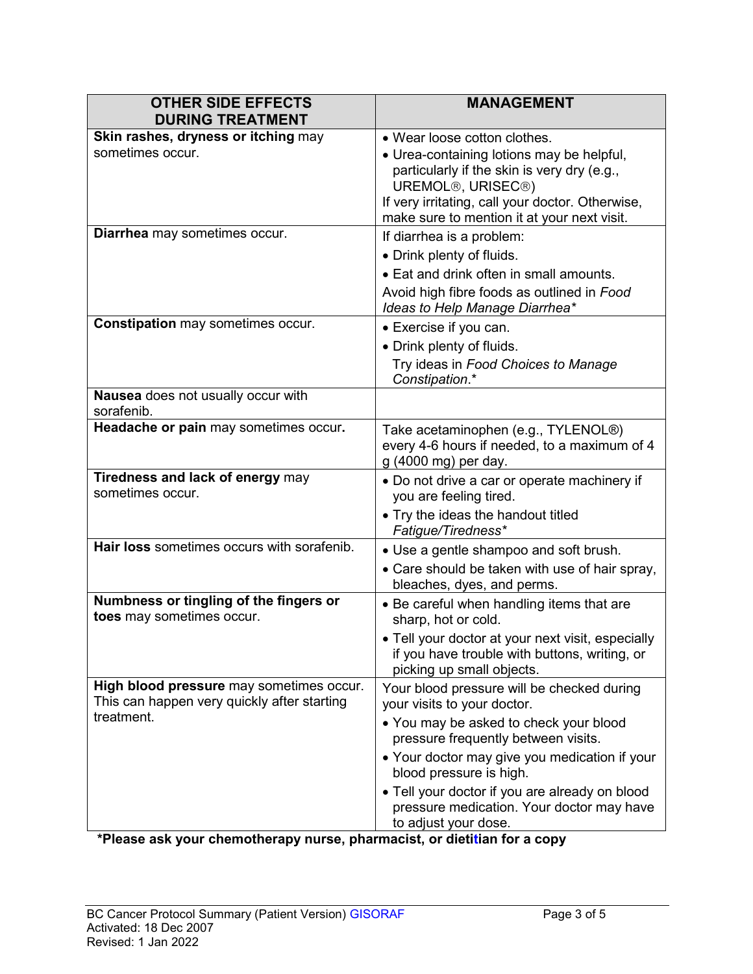| <b>DURING TREATMENT</b>                                                                               | <b>MANAGEMENT</b>                                                                                                                                                                                                                                                                                                                     |
|-------------------------------------------------------------------------------------------------------|---------------------------------------------------------------------------------------------------------------------------------------------------------------------------------------------------------------------------------------------------------------------------------------------------------------------------------------|
| Skin rashes, dryness or itching may<br>sometimes occur.                                               | • Wear loose cotton clothes.<br>• Urea-containing lotions may be helpful,<br>particularly if the skin is very dry (e.g.,<br>UREMOL <sup>®</sup> , URISEC <sup>®</sup> )<br>If very irritating, call your doctor. Otherwise,<br>make sure to mention it at your next visit.                                                            |
| Diarrhea may sometimes occur.                                                                         | If diarrhea is a problem:<br>• Drink plenty of fluids.<br>• Eat and drink often in small amounts.<br>Avoid high fibre foods as outlined in Food<br>Ideas to Help Manage Diarrhea*                                                                                                                                                     |
| <b>Constipation</b> may sometimes occur.                                                              | • Exercise if you can.<br>• Drink plenty of fluids.<br>Try ideas in Food Choices to Manage<br>Constipation.*                                                                                                                                                                                                                          |
| Nausea does not usually occur with<br>sorafenib.                                                      |                                                                                                                                                                                                                                                                                                                                       |
| Headache or pain may sometimes occur.                                                                 | Take acetaminophen (e.g., TYLENOL®)<br>every 4-6 hours if needed, to a maximum of 4<br>g (4000 mg) per day.                                                                                                                                                                                                                           |
| Tiredness and lack of energy may<br>sometimes occur.                                                  | • Do not drive a car or operate machinery if<br>you are feeling tired.<br>• Try the ideas the handout titled<br>Fatigue/Tiredness*                                                                                                                                                                                                    |
| Hair loss sometimes occurs with sorafenib.                                                            | • Use a gentle shampoo and soft brush.<br>• Care should be taken with use of hair spray,<br>bleaches, dyes, and perms.                                                                                                                                                                                                                |
| Numbness or tingling of the fingers or<br>toes may sometimes occur.                                   | • Be careful when handling items that are<br>sharp, hot or cold.<br>• Tell your doctor at your next visit, especially<br>if you have trouble with buttons, writing, or<br>picking up small objects.                                                                                                                                   |
| High blood pressure may sometimes occur.<br>This can happen very quickly after starting<br>treatment. | Your blood pressure will be checked during<br>your visits to your doctor.<br>• You may be asked to check your blood<br>pressure frequently between visits.<br>• Your doctor may give you medication if your<br>blood pressure is high.<br>• Tell your doctor if you are already on blood<br>pressure medication. Your doctor may have |

**\*Please ask your chemotherapy nurse, pharmacist, or dietitian for a copy**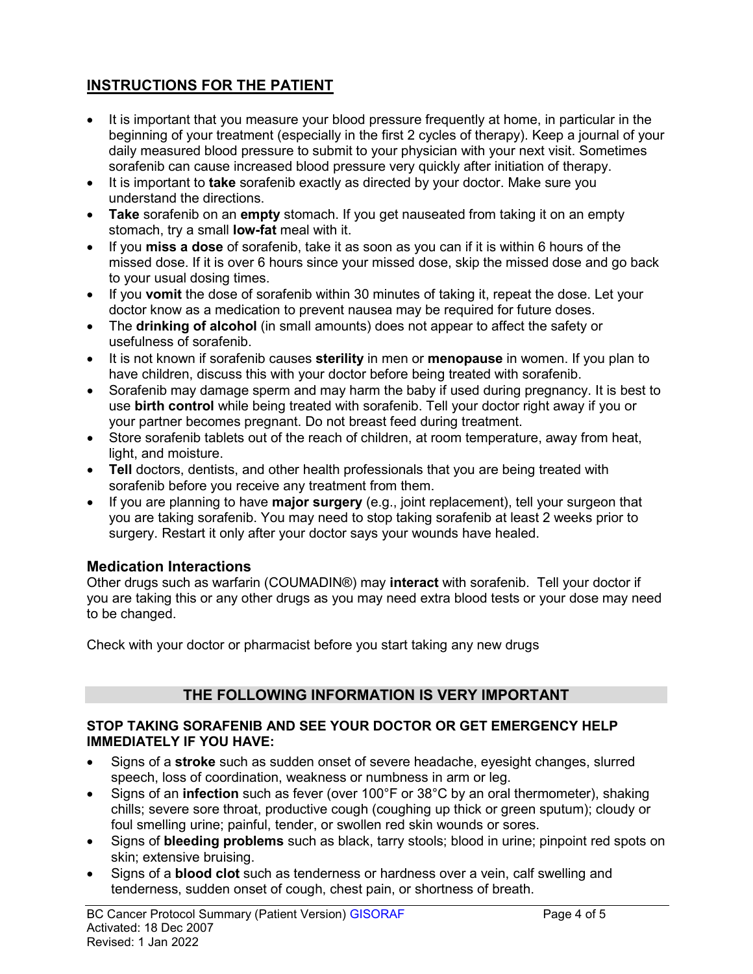# **INSTRUCTIONS FOR THE PATIENT**

- It is important that you measure your blood pressure frequently at home, in particular in the beginning of your treatment (especially in the first 2 cycles of therapy). Keep a journal of your daily measured blood pressure to submit to your physician with your next visit. Sometimes sorafenib can cause increased blood pressure very quickly after initiation of therapy.
- It is important to **take** sorafenib exactly as directed by your doctor. Make sure you understand the directions.
- **Take** sorafenib on an **empty** stomach. If you get nauseated from taking it on an empty stomach, try a small **low-fat** meal with it.
- If you **miss a dose** of sorafenib, take it as soon as you can if it is within 6 hours of the missed dose. If it is over 6 hours since your missed dose, skip the missed dose and go back to your usual dosing times.
- If you **vomit** the dose of sorafenib within 30 minutes of taking it, repeat the dose. Let your doctor know as a medication to prevent nausea may be required for future doses.
- The **drinking of alcohol** (in small amounts) does not appear to affect the safety or usefulness of sorafenib.
- It is not known if sorafenib causes **sterility** in men or **menopause** in women. If you plan to have children, discuss this with your doctor before being treated with sorafenib.
- Sorafenib may damage sperm and may harm the baby if used during pregnancy. It is best to use **birth control** while being treated with sorafenib. Tell your doctor right away if you or your partner becomes pregnant. Do not breast feed during treatment.
- Store sorafenib tablets out of the reach of children, at room temperature, away from heat, light, and moisture.
- **Tell** doctors, dentists, and other health professionals that you are being treated with sorafenib before you receive any treatment from them.
- If you are planning to have **major surgery** (e.g., joint replacement), tell your surgeon that you are taking sorafenib. You may need to stop taking sorafenib at least 2 weeks prior to surgery. Restart it only after your doctor says your wounds have healed.

### **Medication Interactions**

Other drugs such as warfarin (COUMADIN®) may **interact** with sorafenib. Tell your doctor if you are taking this or any other drugs as you may need extra blood tests or your dose may need to be changed.

Check with your doctor or pharmacist before you start taking any new drugs

## **THE FOLLOWING INFORMATION IS VERY IMPORTANT**

#### **STOP TAKING SORAFENIB AND SEE YOUR DOCTOR OR GET EMERGENCY HELP IMMEDIATELY IF YOU HAVE:**

- Signs of a **stroke** such as sudden onset of severe headache, eyesight changes, slurred speech, loss of coordination, weakness or numbness in arm or leg.
- Signs of an **infection** such as fever (over 100°F or 38°C by an oral thermometer), shaking chills; severe sore throat, productive cough (coughing up thick or green sputum); cloudy or foul smelling urine; painful, tender, or swollen red skin wounds or sores.
- Signs of **bleeding problems** such as black, tarry stools; blood in urine; pinpoint red spots on skin; extensive bruising.
- Signs of a **blood clot** such as tenderness or hardness over a vein, calf swelling and tenderness, sudden onset of cough, chest pain, or shortness of breath.